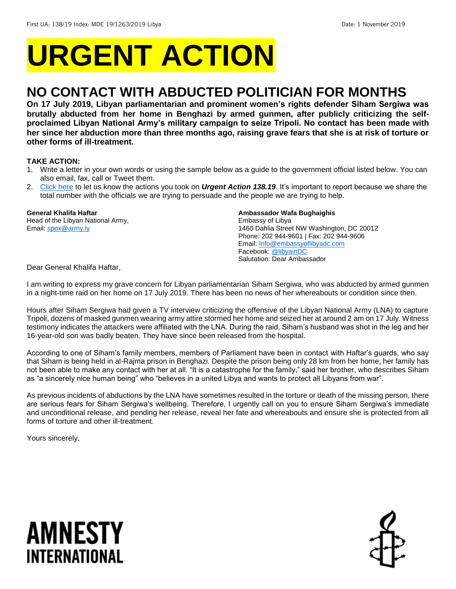# **URGENT ACTION**

## **NO CONTACT WITH ABDUCTED POLITICIAN FOR MONTHS**

**On 17 July 2019, Libyan parliamentarian and prominent women's rights defender Siham Sergiwa was brutally abducted from her home in Benghazi by armed gunmen, after publicly criticizing the selfproclaimed Libyan National Army's military campaign to seize Tripoli. No contact has been made with her since her abduction more than three months ago, raising grave fears that she is at risk of torture or other forms of ill-treatment.** 

#### **TAKE ACTION:**

- 1. Write a letter in your own words or using the sample below as a guide to the government official listed below. You can also email, fax, call or Tweet them.
- 2. [Click here](https://www.amnestyusa.org/report-urgent-actions/) to let us know the actions you took on *Urgent Action 138.19.* It's important to report because we share the total number with the officials we are trying to persuade and the people we are trying to help.

#### **General Khalifa Haftar**

Head of the Libyan National Army, Email[: spox@army.ly](mailto:spox@army.ly)

#### **Ambassador Wafa Bughaighis**

Embassy of Libya 1460 Dahlia Street NW Washington, DC 20012 Phone: 202 944-9601 | Fax: 202 944-9606 Email[: Info@embassyoflibyadc.com](mailto:Info@embassyoflibyadc.com) Facebook[: @libyainDC](https://www.facebook.com/Embassy-of-Libya-in-Washington-DC-175149195871219/) Salutation: Dear Ambassador

Dear General Khalifa Haftar,

I am writing to express my grave concern for Libyan parliamentarian Siham Sergiwa, who was abducted by armed gunmen in a night-time raid on her home on 17 July 2019. There has been no news of her whereabouts or condition since then.

Hours after Siham Sergiwa had given a TV interview criticizing the offensive of the Libyan National Army (LNA) to capture Tripoli, dozens of masked gunmen wearing army attire stormed her home and seized her at around 2 am on 17 July. Witness testimony indicates the attackers were affiliated with the LNA. During the raid, Siham's husband was shot in the leg and her 16-year-old son was badly beaten. They have since been released from the hospital.

According to one of Siham's family members, members of Parliament have been in contact with Haftar's guards, who say that Siham is being held in al-Rajma prison in Benghazi. Despite the prison being only 28 km from her home, her family has not been able to make any contact with her at all. "It is a catastrophe for the family," said her brother, who describes Siham as "a sincerely nice human being" who "believes in a united Libya and wants to protect all Libyans from war".

As previous incidents of abductions by the LNA have sometimes resulted in the torture or death of the missing person, there are serious fears for Siham Sergiwa's wellbeing. Therefore, I urgently call on you to ensure Siham Sergiwa's immediate and unconditional release, and pending her release, reveal her fate and whereabouts and ensure she is protected from all forms of torture and other ill-treatment.

Yours sincerely,